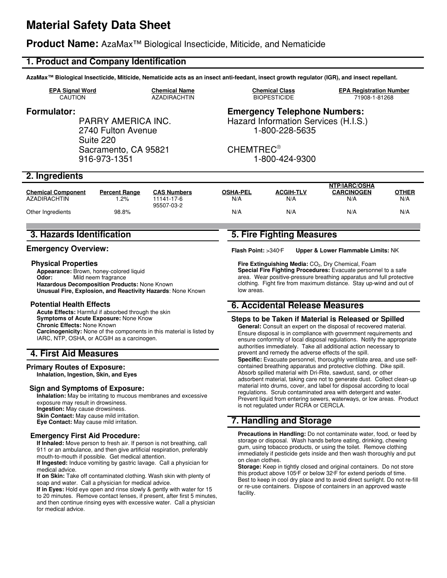# **Material Safety Data Sheet**

### **Product Name:** AzaMax™ Biological Insecticide, Miticide, and Nematicide

### **1. Product and Company Identification**

**AzaMax™ Biological Insecticide, Miticide, Nematicide acts as an insect anti-feedant, insect growth regulator (IGR), and insect repellant.**

**EPA Signal Word Chemical Name Chemical Class EPA Registration Number**

PARRY AMERICA INC. 2740 Fulton Avenue Suite 220 Sacramento, CA 95821 916-973-1351

**Formulator: Emergency Telephone Numbers:**

Hazard Information Services (H.I.S.) 1-800-228-5635

CHEMTREC®

1-800-424-9300

### **2. Ingredients**

|                           |                      |                    | NIP/IARU/USHA   |                  |                   |       |
|---------------------------|----------------------|--------------------|-----------------|------------------|-------------------|-------|
| <b>Chemical Component</b> | <b>Percent Range</b> | <b>CAS Numbers</b> | <b>OSHA-PEL</b> | <b>ACGIH-TLV</b> | <b>CARCINOGEN</b> | OTHER |
| AZADIRACHTIN              | .2%                  | 1141-17-6          | N/A             | N/A              | N/A               | N/A   |
|                           |                      | 95507-03-2         |                 |                  |                   |       |
| Other Ingredients         | 98.8%                |                    | N/A             | N/A              | N/A               | N/A   |

### **3. Hazards Identification**

### **Emergency Overview:**

#### **Physical Properties**

**Appearance:** Brown, honey-colored liquid **Odor:** Mild neem fragrance **Hazardous Decomposition Products:** None Known **Unusual Fire, Explosion, and Reactivity Hazards**: None Known

#### **Potential Health Effects**

**Acute Effects:** Harmful if absorbed through the skin **Symptoms of Acute Exposure:** None Know **Chronic Effects:** None Known **Carcinogenicity:** None of the components in this material is listed by IARC, NTP, OSHA, or ACGIH as a carcinogen.

### **4. First Aid Measures**

## **Primary Routes of Exposure:**

**Inhalation, Ingestion, Skin, and Eyes**

#### **Sign and Symptoms of Exposure:**

**Inhalation:** May be irritating to mucous membranes and excessive exposure may result in drowsiness. **Ingestion:** May cause drowsiness. **Skin Contact:** May cause mild irritation. **Eye Contact:** May cause mild irritation.

#### **Emergency First Aid Procedure:**

**If Inhaled:** Move person to fresh air. If person is not breathing, call 911 or an ambulance, and then give artificial respiration, preferably mouth-to-mouth if possible. Get medical attention.

**If Ingested:** Induce vomiting by gastric lavage. Call a physician for medical advice.

**If on Skin:** Take off contaminated clothing. Wash skin with plenty of soap and water. Call a physician for medical advice.

**If in Eyes:** Hold eye open and rinse slowly & gently with water for 15 to 20 minutes. Remove contact lenses, if present, after first 5 minutes, and then continue rinsing eyes with excessive water. Call a physician for medical advice.

### **5. Fire Fighting Measures**

**Flash Point: >340°F Upper & Lower Flammable Limits: NK** 

Fire Extinguishing Media: CO<sub>2</sub>, Dry Chemical, Foam **Special Fire Fighting Procedures:** Evacuate personnel to a safe area. Wear positive-pressure breathing apparatus and full protective clothing. Fight fire from maximum distance. Stay up-wind and out of low areas.

### **6. Accidental Release Measures**

#### **Steps to be Taken if Material is Released or Spilled**

**General:** Consult an expert on the disposal of recovered material. Ensure disposal is in compliance with government requirements and ensure conformity of local disposal regulations. Notify the appropriate authorities immediately. Take all additional action necessary to prevent and remedy the adverse effects of the spill. **Specific:** Evacuate personnel, thoroughly ventilate area, and use selfcontained breathing apparatus and protective clothing. Dike spill. Absorb spilled material with Dri-Rite, sawdust, sand, or other adsorbent material, taking care not to generate dust. Collect clean-up material into drums, cover, and label for disposal according to local regulations. Scrub contaminated area with detergent and water. Prevent liquid from entering sewers, waterways, or low areas. Product is not regulated under RCRA or CERCLA.

### **7. Handling and Storage**

**Precautions in Handling:** Do not contaminate water, food, or feed by storage or disposal. Wash hands before eating, drinking, chewing gum, using tobacco products, or using the toilet. Remove clothing immediately if pesticide gets inside and then wash thoroughly and put on clean clothes.

**Storage:** Keep in tightly closed and original containers. Do not store this product above 105°F or below 32°F for extend periods of time. Best to keep in cool dry place and to avoid direct sunlight. Do not re-fill or re-use containers. Dispose of containers in an approved waste facility.

CAUTION AZADIRACHTIN BIOPESTICIDE 71908-1-81268

**NTP/IARC/OSHA**